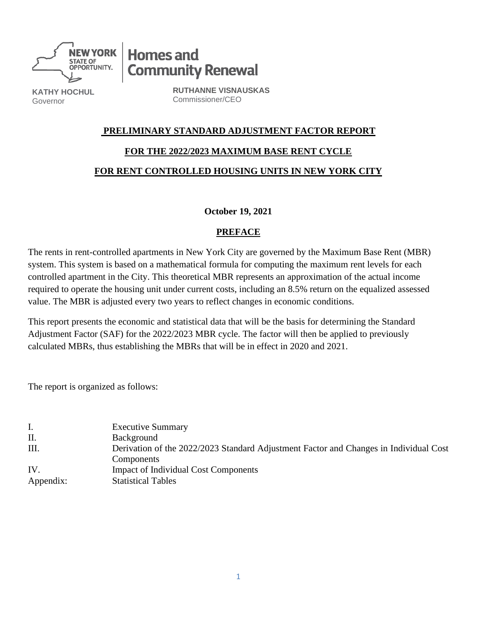

**Homes and Community Renewal** 

**KATHY HOCHUL** Governor

**RUTHANNE VISNAUSKAS** Commissioner/CEO

### **PRELIMINARY STANDARD ADJUSTMENT FACTOR REPORT**

### **FOR THE 2022/2023 MAXIMUM BASE RENT CYCLE**

### **FOR RENT CONTROLLED HOUSING UNITS IN NEW YORK CITY**

### **October 19, 2021**

## **PREFACE**

The rents in rent-controlled apartments in New York City are governed by the Maximum Base Rent (MBR) system. This system is based on a mathematical formula for computing the maximum rent levels for each controlled apartment in the City. This theoretical MBR represents an approximation of the actual income required to operate the housing unit under current costs, including an 8.5% return on the equalized assessed value. The MBR is adjusted every two years to reflect changes in economic conditions.

This report presents the economic and statistical data that will be the basis for determining the Standard Adjustment Factor (SAF) for the 2022/2023 MBR cycle. The factor will then be applied to previously calculated MBRs, thus establishing the MBRs that will be in effect in 2020 and 2021.

The report is organized as follows:

| Ι.        | <b>Executive Summary</b>                                                              |
|-----------|---------------------------------------------------------------------------------------|
| Π.        | Background                                                                            |
| Ш.        | Derivation of the 2022/2023 Standard Adjustment Factor and Changes in Individual Cost |
|           | Components                                                                            |
| IV.       | <b>Impact of Individual Cost Components</b>                                           |
| Appendix: | <b>Statistical Tables</b>                                                             |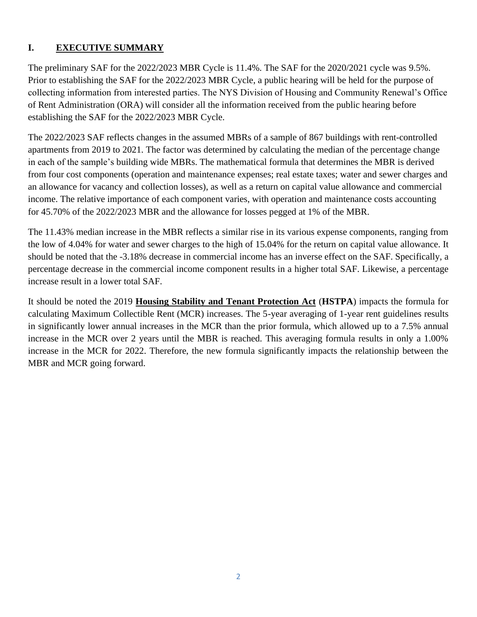# **I. EXECUTIVE SUMMARY**

The preliminary SAF for the 2022/2023 MBR Cycle is 11.4%. The SAF for the 2020/2021 cycle was 9.5%. Prior to establishing the SAF for the 2022/2023 MBR Cycle, a public hearing will be held for the purpose of collecting information from interested parties. The NYS Division of Housing and Community Renewal's Office of Rent Administration (ORA) will consider all the information received from the public hearing before establishing the SAF for the 2022/2023 MBR Cycle.

The 2022/2023 SAF reflects changes in the assumed MBRs of a sample of 867 buildings with rent-controlled apartments from 2019 to 2021. The factor was determined by calculating the median of the percentage change in each of the sample's building wide MBRs. The mathematical formula that determines the MBR is derived from four cost components (operation and maintenance expenses; real estate taxes; water and sewer charges and an allowance for vacancy and collection losses), as well as a return on capital value allowance and commercial income. The relative importance of each component varies, with operation and maintenance costs accounting for 45.70% of the 2022/2023 MBR and the allowance for losses pegged at 1% of the MBR.

The 11.43% median increase in the MBR reflects a similar rise in its various expense components, ranging from the low of 4.04% for water and sewer charges to the high of 15.04% for the return on capital value allowance. It should be noted that the -3.18% decrease in commercial income has an inverse effect on the SAF. Specifically, a percentage decrease in the commercial income component results in a higher total SAF. Likewise, a percentage increase result in a lower total SAF.

It should be noted the 2019 **Housing Stability and Tenant Protection Act** (**HSTPA**) impacts the formula for calculating Maximum Collectible Rent (MCR) increases. The 5-year averaging of 1-year rent guidelines results in significantly lower annual increases in the MCR than the prior formula, which allowed up to a 7.5% annual increase in the MCR over 2 years until the MBR is reached. This averaging formula results in only a 1.00% increase in the MCR for 2022. Therefore, the new formula significantly impacts the relationship between the MBR and MCR going forward.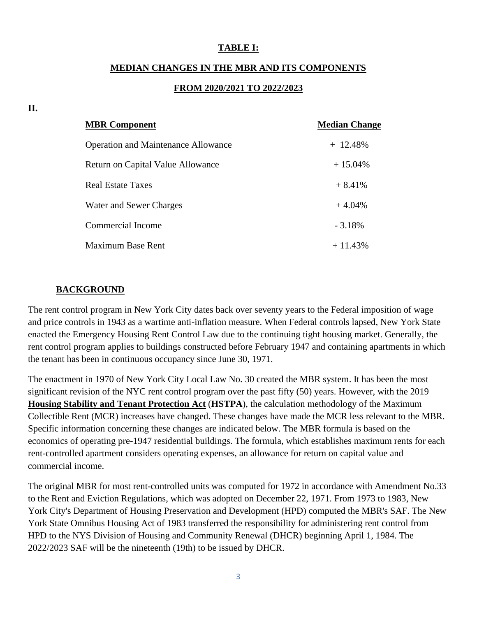#### **TABLE I:**

#### **MEDIAN CHANGES IN THE MBR AND ITS COMPONENTS**

#### **FROM 2020/2021 TO 2022/2023**

| <b>MBR</b> Component                       | <b>Median Change</b> |
|--------------------------------------------|----------------------|
| <b>Operation and Maintenance Allowance</b> | $+$ 12.48%           |
| Return on Capital Value Allowance          | $+15.04\%$           |
| <b>Real Estate Taxes</b>                   | $+8.41%$             |
| Water and Sewer Charges                    | $+4.04\%$            |
| Commercial Income                          | $-3.18\%$            |
| Maximum Base Rent                          | $+11.43%$            |

#### **BACKGROUND**

The rent control program in New York City dates back over seventy years to the Federal imposition of wage and price controls in 1943 as a wartime anti-inflation measure. When Federal controls lapsed, New York State enacted the Emergency Housing Rent Control Law due to the continuing tight housing market. Generally, the rent control program applies to buildings constructed before February 1947 and containing apartments in which the tenant has been in continuous occupancy since June 30, 1971.

The enactment in 1970 of New York City Local Law No. 30 created the MBR system. It has been the most significant revision of the NYC rent control program over the past fifty (50) years. However, with the 2019 **Housing Stability and Tenant Protection Act** (**HSTPA**), the calculation methodology of the Maximum Collectible Rent (MCR) increases have changed. These changes have made the MCR less relevant to the MBR. Specific information concerning these changes are indicated below. The MBR formula is based on the economics of operating pre-1947 residential buildings. The formula, which establishes maximum rents for each rent-controlled apartment considers operating expenses, an allowance for return on capital value and commercial income.

The original MBR for most rent-controlled units was computed for 1972 in accordance with Amendment No.33 to the Rent and Eviction Regulations, which was adopted on December 22, 1971. From 1973 to 1983, New York City's Department of Housing Preservation and Development (HPD) computed the MBR's SAF. The New York State Omnibus Housing Act of 1983 transferred the responsibility for administering rent control from HPD to the NYS Division of Housing and Community Renewal (DHCR) beginning April 1, 1984. The 2022/2023 SAF will be the nineteenth (19th) to be issued by DHCR.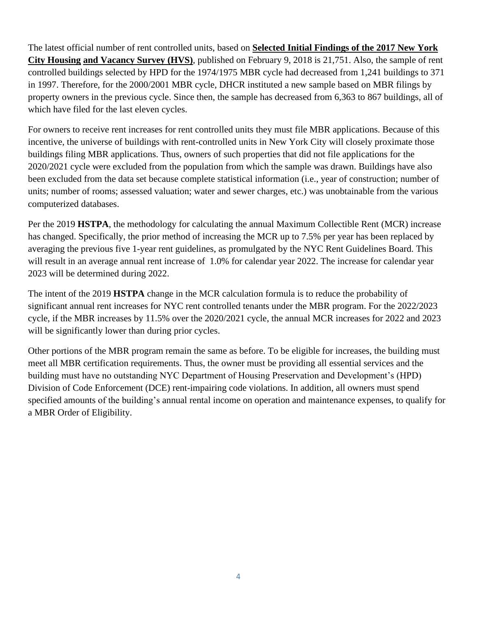The latest official number of rent controlled units, based on **Selected Initial Findings of the 2017 New York City Housing and Vacancy Survey (HVS)**, published on February 9, 2018 is 21,751. Also, the sample of rent controlled buildings selected by HPD for the 1974/1975 MBR cycle had decreased from 1,241 buildings to 371 in 1997. Therefore, for the 2000/2001 MBR cycle, DHCR instituted a new sample based on MBR filings by property owners in the previous cycle. Since then, the sample has decreased from 6,363 to 867 buildings, all of which have filed for the last eleven cycles.

For owners to receive rent increases for rent controlled units they must file MBR applications. Because of this incentive, the universe of buildings with rent-controlled units in New York City will closely proximate those buildings filing MBR applications. Thus, owners of such properties that did not file applications for the 2020/2021 cycle were excluded from the population from which the sample was drawn. Buildings have also been excluded from the data set because complete statistical information (i.e., year of construction; number of units; number of rooms; assessed valuation; water and sewer charges, etc.) was unobtainable from the various computerized databases.

Per the 2019 **HSTPA**, the methodology for calculating the annual Maximum Collectible Rent (MCR) increase has changed. Specifically, the prior method of increasing the MCR up to 7.5% per year has been replaced by averaging the previous five 1-year rent guidelines, as promulgated by the NYC Rent Guidelines Board. This will result in an average annual rent increase of 1.0% for calendar year 2022. The increase for calendar year 2023 will be determined during 2022.

The intent of the 2019 **HSTPA** change in the MCR calculation formula is to reduce the probability of significant annual rent increases for NYC rent controlled tenants under the MBR program. For the 2022/2023 cycle, if the MBR increases by 11.5% over the 2020/2021 cycle, the annual MCR increases for 2022 and 2023 will be significantly lower than during prior cycles.

Other portions of the MBR program remain the same as before. To be eligible for increases, the building must meet all MBR certification requirements. Thus, the owner must be providing all essential services and the building must have no outstanding NYC Department of Housing Preservation and Development's (HPD) Division of Code Enforcement (DCE) rent-impairing code violations. In addition, all owners must spend specified amounts of the building's annual rental income on operation and maintenance expenses, to qualify for a MBR Order of Eligibility.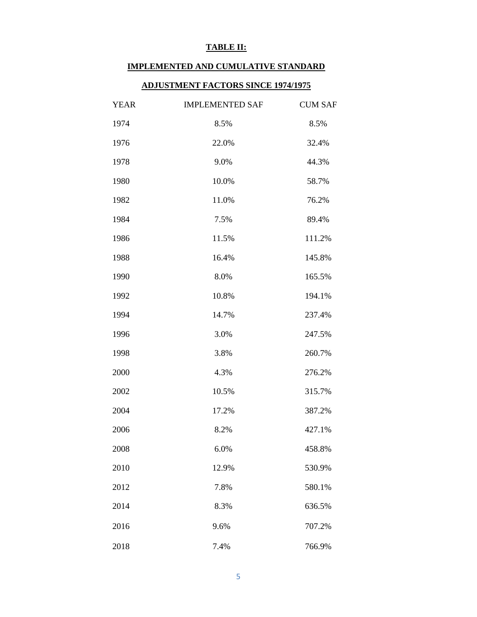#### **TABLE II:**

### **IMPLEMENTED AND CUMULATIVE STANDARD**

### **ADJUSTMENT FACTORS SINCE 1974/1975**

| <b>YEAR</b> | <b>IMPLEMENTED SAF</b> | <b>CUM SAF</b> |
|-------------|------------------------|----------------|
| 1974        | 8.5%                   | 8.5%           |
| 1976        | 22.0%                  | 32.4%          |
| 1978        | 9.0%                   | 44.3%          |
| 1980        | 10.0%                  | 58.7%          |
| 1982        | 11.0%                  | 76.2%          |
| 1984        | 7.5%                   | 89.4%          |
| 1986        | 11.5%                  | 111.2%         |
| 1988        | 16.4%                  | 145.8%         |
| 1990        | 8.0%                   | 165.5%         |
| 1992        | 10.8%                  | 194.1%         |
| 1994        | 14.7%                  | 237.4%         |
| 1996        | 3.0%                   | 247.5%         |
| 1998        | 3.8%                   | 260.7%         |
| 2000        | 4.3%                   | 276.2%         |
| 2002        | 10.5%                  | 315.7%         |
| 2004        | 17.2%                  | 387.2%         |
| 2006        | 8.2%                   | 427.1%         |
| 2008        | 6.0%                   | 458.8%         |
| 2010        | 12.9%                  | 530.9%         |
| 2012        | 7.8%                   | 580.1%         |
| 2014        | 8.3%                   | 636.5%         |
| 2016        | 9.6%                   | 707.2%         |
| 2018        | 7.4%                   | 766.9%         |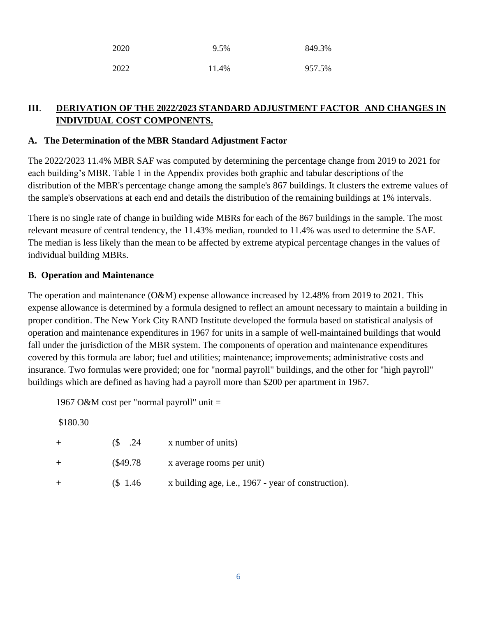| 2020 | 9.5%  | 849.3% |
|------|-------|--------|
| 2022 | 11.4% | 957.5% |

# **III**. **DERIVATION OF THE 2022/2023 STANDARD ADJUSTMENT FACTOR AND CHANGES IN INDIVIDUAL COST COMPONENTS.**

### **A. The Determination of the MBR Standard Adjustment Factor**

The 2022/2023 11.4% MBR SAF was computed by determining the percentage change from 2019 to 2021 for each building's MBR. Table 1 in the Appendix provides both graphic and tabular descriptions of the distribution of the MBR's percentage change among the sample's 867 buildings. It clusters the extreme values of the sample's observations at each end and details the distribution of the remaining buildings at 1% intervals.

There is no single rate of change in building wide MBRs for each of the 867 buildings in the sample. The most relevant measure of central tendency, the 11.43% median, rounded to 11.4% was used to determine the SAF. The median is less likely than the mean to be affected by extreme atypical percentage changes in the values of individual building MBRs.

### **B. Operation and Maintenance**

The operation and maintenance (O&M) expense allowance increased by 12.48% from 2019 to 2021. This expense allowance is determined by a formula designed to reflect an amount necessary to maintain a building in proper condition. The New York City RAND Institute developed the formula based on statistical analysis of operation and maintenance expenditures in 1967 for units in a sample of well-maintained buildings that would fall under the jurisdiction of the MBR system. The components of operation and maintenance expenditures covered by this formula are labor; fuel and utilities; maintenance; improvements; administrative costs and insurance. Two formulas were provided; one for "normal payroll" buildings, and the other for "high payroll" buildings which are defined as having had a payroll more than \$200 per apartment in 1967.

1967 O&M cost per "normal payroll" unit =

\$180.30

| $+$ |           | $\$$ .24 x number of units)                         |
|-----|-----------|-----------------------------------------------------|
| $+$ |           | $($49.78$ x average rooms per unit)                 |
|     | $\$$ 1.46 | x building age, i.e., 1967 - year of construction). |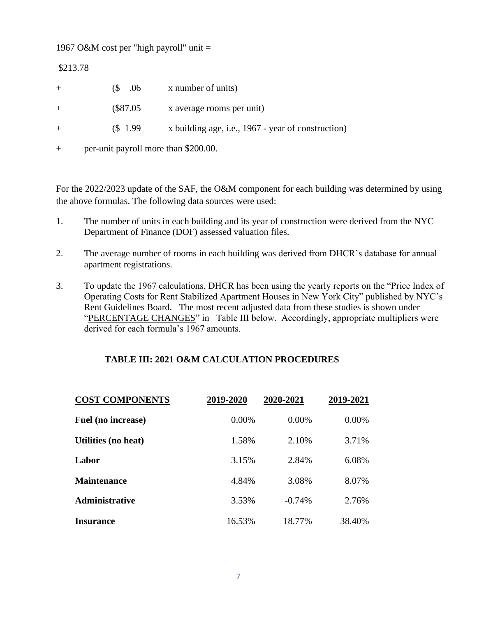1967 O&M cost per "high payroll" unit =

\$213.78

| $+$ | $(S \t .06)$                         | x number of units)                                 |
|-----|--------------------------------------|----------------------------------------------------|
| $+$ | $(\$87.05$                           | x average rooms per unit)                          |
| $+$ | (S <sub>1.99</sub> )                 | x building age, i.e., 1967 - year of construction) |
|     | per-unit payroll more than \$200.00. |                                                    |

For the 2022/2023 update of the SAF, the O&M component for each building was determined by using the above formulas. The following data sources were used:

- 1. The number of units in each building and its year of construction were derived from the NYC Department of Finance (DOF) assessed valuation files.
- 2. The average number of rooms in each building was derived from DHCR's database for annual apartment registrations.
- 3. To update the 1967 calculations, DHCR has been using the yearly reports on the "Price Index of Operating Costs for Rent Stabilized Apartment Houses in New York City" published by NYC's Rent Guidelines Board. The most recent adjusted data from these studies is shown under "PERCENTAGE CHANGES" in Table III below. Accordingly, appropriate multipliers were derived for each formula's 1967 amounts.

## **TABLE III: 2021 O&M CALCULATION PROCEDURES**

| <b>COST COMPONENTS</b> | 2019-2020 | 2020-2021 | 2019-2021 |
|------------------------|-----------|-----------|-----------|
| Fuel (no increase)     | 0.00%     | $0.00\%$  | 0.00%     |
| Utilities (no heat)    | 1.58%     | 2.10%     | 3.71%     |
| Labor                  | 3.15%     | 2.84%     | 6.08%     |
| <b>Maintenance</b>     | 4.84%     | 3.08%     | 8.07%     |
| Administrative         | 3.53%     | $-0.74%$  | 2.76%     |
| <b>Insurance</b>       | 16.53%    | 18.77%    | 38.40%    |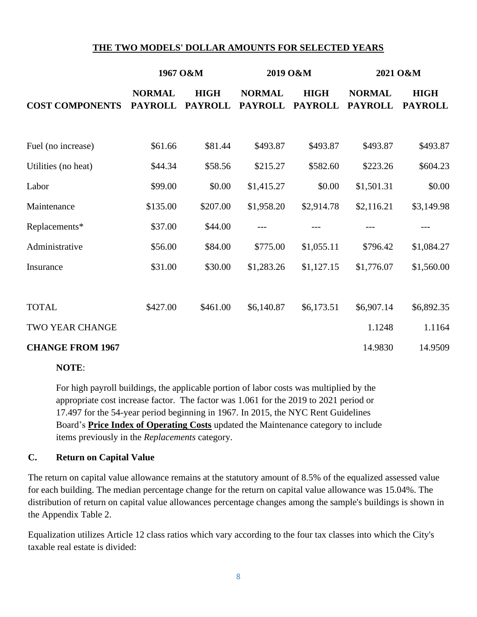### **THE TWO MODELS' DOLLAR AMOUNTS FOR SELECTED YEARS**

|                         | 1967 O&M                        |                               | 2019 O&M                        |                               | 2021 O&M                        |                               |
|-------------------------|---------------------------------|-------------------------------|---------------------------------|-------------------------------|---------------------------------|-------------------------------|
| <b>COST COMPONENTS</b>  | <b>NORMAL</b><br><b>PAYROLL</b> | <b>HIGH</b><br><b>PAYROLL</b> | <b>NORMAL</b><br><b>PAYROLL</b> | <b>HIGH</b><br><b>PAYROLL</b> | <b>NORMAL</b><br><b>PAYROLL</b> | <b>HIGH</b><br><b>PAYROLL</b> |
| Fuel (no increase)      | \$61.66                         | \$81.44                       | \$493.87                        | \$493.87                      | \$493.87                        | \$493.87                      |
| Utilities (no heat)     | \$44.34                         | \$58.56                       | \$215.27                        | \$582.60                      | \$223.26                        | \$604.23                      |
| Labor                   | \$99.00                         | \$0.00                        | \$1,415.27                      | \$0.00                        | \$1,501.31                      | \$0.00                        |
| Maintenance             | \$135.00                        | \$207.00                      | \$1,958.20                      | \$2,914.78                    | \$2,116.21                      | \$3,149.98                    |
| Replacements*           | \$37.00                         | \$44.00                       | ---                             |                               |                                 |                               |
| Administrative          | \$56.00                         | \$84.00                       | \$775.00                        | \$1,055.11                    | \$796.42                        | \$1,084.27                    |
| Insurance               | \$31.00                         | \$30.00                       | \$1,283.26                      | \$1,127.15                    | \$1,776.07                      | \$1,560.00                    |
| <b>TOTAL</b>            | \$427.00                        | \$461.00                      | \$6,140.87                      | \$6,173.51                    | \$6,907.14                      | \$6,892.35                    |
| <b>TWO YEAR CHANGE</b>  |                                 |                               |                                 |                               | 1.1248                          | 1.1164                        |
| <b>CHANGE FROM 1967</b> |                                 |                               |                                 |                               | 14.9830                         | 14.9509                       |

#### **NOTE**:

For high payroll buildings, the applicable portion of labor costs was multiplied by the appropriate cost increase factor. The factor was 1.061 for the 2019 to 2021 period or 17.497 for the 54-year period beginning in 1967. In 2015, the NYC Rent Guidelines Board's **Price Index of Operating Costs** updated the Maintenance category to include items previously in the *Replacements* category.

### **C. Return on Capital Value**

The return on capital value allowance remains at the statutory amount of 8.5% of the equalized assessed value for each building. The median percentage change for the return on capital value allowance was 15.04%. The distribution of return on capital value allowances percentage changes among the sample's buildings is shown in the Appendix Table 2.

Equalization utilizes Article 12 class ratios which vary according to the four tax classes into which the City's taxable real estate is divided: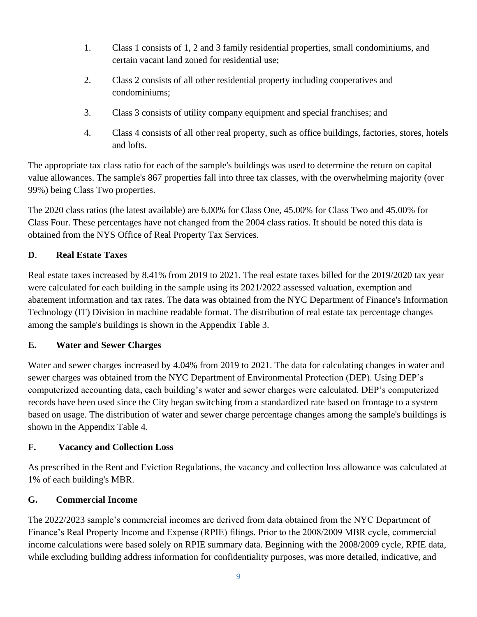- 1. Class 1 consists of 1, 2 and 3 family residential properties, small condominiums, and certain vacant land zoned for residential use;
- 2. Class 2 consists of all other residential property including cooperatives and condominiums;
- 3. Class 3 consists of utility company equipment and special franchises; and
- 4. Class 4 consists of all other real property, such as office buildings, factories, stores, hotels and lofts.

The appropriate tax class ratio for each of the sample's buildings was used to determine the return on capital value allowances. The sample's 867 properties fall into three tax classes, with the overwhelming majority (over 99%) being Class Two properties.

The 2020 class ratios (the latest available) are 6.00% for Class One, 45.00% for Class Two and 45.00% for Class Four. These percentages have not changed from the 2004 class ratios. It should be noted this data is obtained from the NYS Office of Real Property Tax Services.

# **D**. **Real Estate Taxes**

Real estate taxes increased by 8.41% from 2019 to 2021. The real estate taxes billed for the 2019/2020 tax year were calculated for each building in the sample using its 2021/2022 assessed valuation, exemption and abatement information and tax rates. The data was obtained from the NYC Department of Finance's Information Technology (IT) Division in machine readable format. The distribution of real estate tax percentage changes among the sample's buildings is shown in the Appendix Table 3.

## **E. Water and Sewer Charges**

Water and sewer charges increased by 4.04% from 2019 to 2021. The data for calculating changes in water and sewer charges was obtained from the NYC Department of Environmental Protection (DEP). Using DEP's computerized accounting data, each building's water and sewer charges were calculated. DEP's computerized records have been used since the City began switching from a standardized rate based on frontage to a system based on usage. The distribution of water and sewer charge percentage changes among the sample's buildings is shown in the Appendix Table 4.

## **F. Vacancy and Collection Loss**

As prescribed in the Rent and Eviction Regulations, the vacancy and collection loss allowance was calculated at 1% of each building's MBR.

## **G. Commercial Income**

The 2022/2023 sample's commercial incomes are derived from data obtained from the NYC Department of Finance's Real Property Income and Expense (RPIE) filings. Prior to the 2008/2009 MBR cycle, commercial income calculations were based solely on RPIE summary data. Beginning with the 2008/2009 cycle, RPIE data, while excluding building address information for confidentiality purposes, was more detailed, indicative, and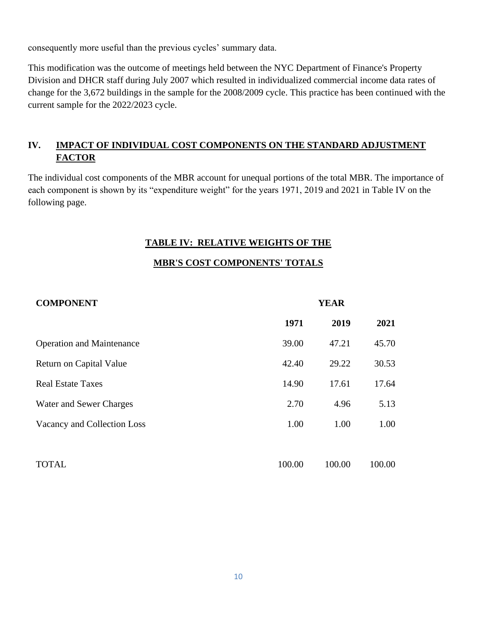consequently more useful than the previous cycles' summary data.

This modification was the outcome of meetings held between the NYC Department of Finance's Property Division and DHCR staff during July 2007 which resulted in individualized commercial income data rates of change for the 3,672 buildings in the sample for the 2008/2009 cycle. This practice has been continued with the current sample for the 2022/2023 cycle.

# **IV. IMPACT OF INDIVIDUAL COST COMPONENTS ON THE STANDARD ADJUSTMENT FACTOR**

The individual cost components of the MBR account for unequal portions of the total MBR. The importance of each component is shown by its "expenditure weight" for the years 1971, 2019 and 2021 in Table IV on the following page.

### **TABLE IV: RELATIVE WEIGHTS OF THE**

### **MBR'S COST COMPONENTS' TOTALS**

| <b>COMPONENT</b>                 | <b>YEAR</b> |        |        |
|----------------------------------|-------------|--------|--------|
|                                  | 1971        | 2019   | 2021   |
| <b>Operation and Maintenance</b> | 39.00       | 47.21  | 45.70  |
| Return on Capital Value          | 42.40       | 29.22  | 30.53  |
| <b>Real Estate Taxes</b>         | 14.90       | 17.61  | 17.64  |
| Water and Sewer Charges          | 2.70        | 4.96   | 5.13   |
| Vacancy and Collection Loss      | 1.00        | 1.00   | 1.00   |
| <b>TOTAL</b>                     | 100.00      | 100.00 | 100.00 |